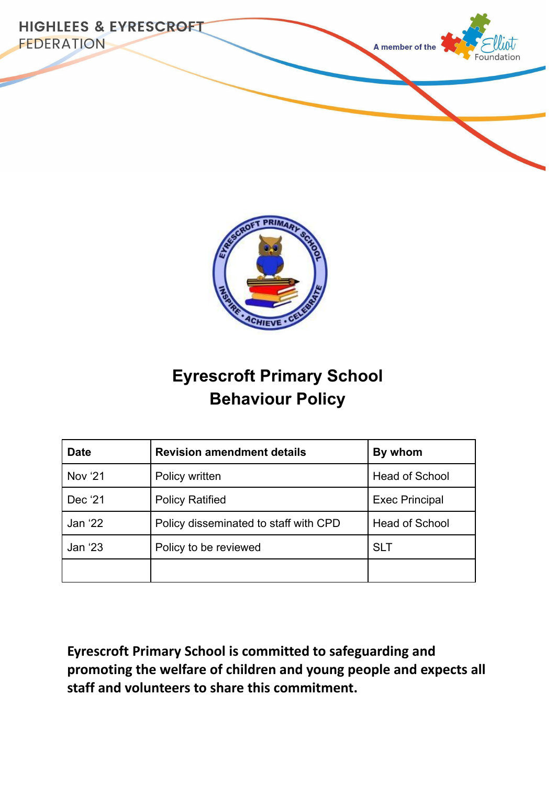



# **Eyrescroft Primary School Behaviour Policy**

| <b>Date</b>    | <b>Revision amendment details</b>     | By whom               |
|----------------|---------------------------------------|-----------------------|
| <b>Nov '21</b> | Policy written                        | <b>Head of School</b> |
| Dec '21        | <b>Policy Ratified</b>                | <b>Exec Principal</b> |
| Jan '22        | Policy disseminated to staff with CPD | <b>Head of School</b> |
| Jan '23        | Policy to be reviewed                 | <b>SLT</b>            |
|                |                                       |                       |

**Eyrescroft Primary School is committed to safeguarding and promoting the welfare of children and young people and expects all staff and volunteers to share this commitment.**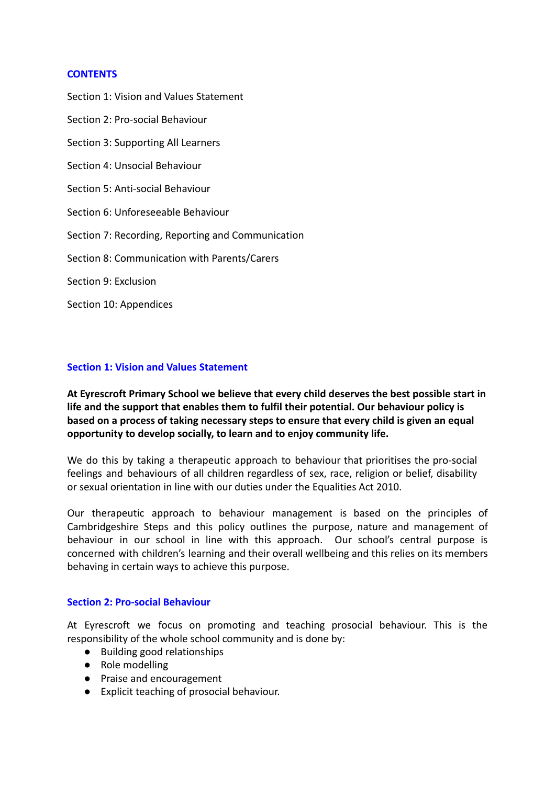#### **CONTENTS**

Section 1: Vision and Values Statement Section 2: Pro-social Behaviour Section 3: Supporting All Learners Section 4: Unsocial Behaviour Section 5: Anti-social Behaviour Section 6: Unforeseeable Behaviour Section 7: Recording, Reporting and Communication Section 8: Communication with Parents/Carers Section 9: Exclusion Section 10: Appendices

#### **Section 1: Vision and Values Statement**

**At Eyrescroft Primary School we believe that every child deserves the best possible start in life and the support that enables them to fulfil their potential. Our behaviour policy is based on a process of taking necessary steps to ensure that every child is given an equal opportunity to develop socially, to learn and to enjoy community life.**

We do this by taking a therapeutic approach to behaviour that prioritises the pro-social feelings and behaviours of all children regardless of sex, race, religion or belief, disability or sexual orientation in line with our duties under the Equalities Act 2010.

Our therapeutic approach to behaviour management is based on the principles of Cambridgeshire Steps and this policy outlines the purpose, nature and management of behaviour in our school in line with this approach. Our school's central purpose is concerned with children's learning and their overall wellbeing and this relies on its members behaving in certain ways to achieve this purpose.

#### **Section 2: Pro-social Behaviour**

At Eyrescroft we focus on promoting and teaching prosocial behaviour. This is the responsibility of the whole school community and is done by:

- Building good relationships
- Role modelling
- Praise and encouragement
- Explicit teaching of prosocial behaviour.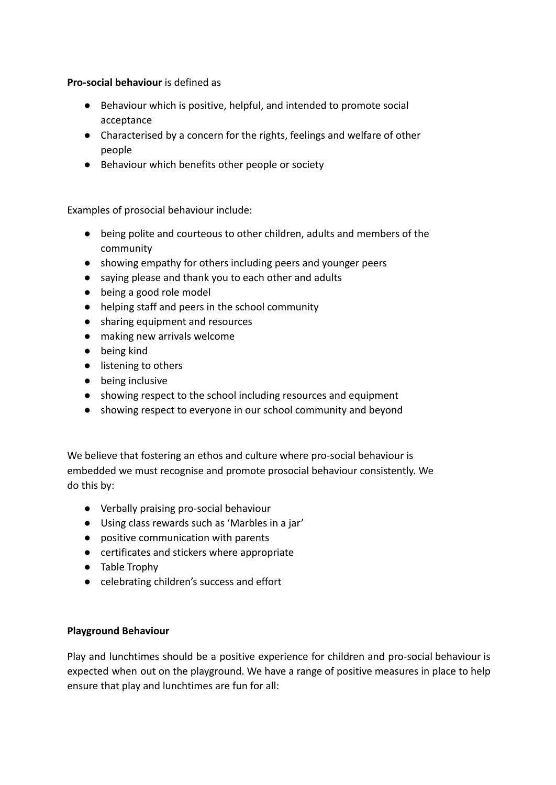**Pro-social behaviour** is defined as

- Behaviour which is positive, helpful, and intended to promote social acceptance
- Characterised by a concern for the rights, feelings and welfare of other people
- Behaviour which benefits other people or society

Examples of prosocial behaviour include:

- being polite and courteous to other children, adults and members of the community
- showing empathy for others including peers and younger peers
- saying please and thank you to each other and adults
- being a good role model
- helping staff and peers in the school community
- sharing equipment and resources
- making new arrivals welcome
- being kind
- listening to others
- being inclusive
- showing respect to the school including resources and equipment
- showing respect to everyone in our school community and beyond

We believe that fostering an ethos and culture where pro-social behaviour is embedded we must recognise and promote prosocial behaviour consistently. We do this by:

- Verbally praising pro-social behaviour
- Using class rewards such as 'Marbles in a jar'
- positive communication with parents
- certificates and stickers where appropriate
- Table Trophy
- celebrating children's success and effort

#### **Playground Behaviour**

Play and lunchtimes should be a positive experience for children and pro-social behaviour is expected when out on the playground. We have a range of positive measures in place to help ensure that play and lunchtimes are fun for all: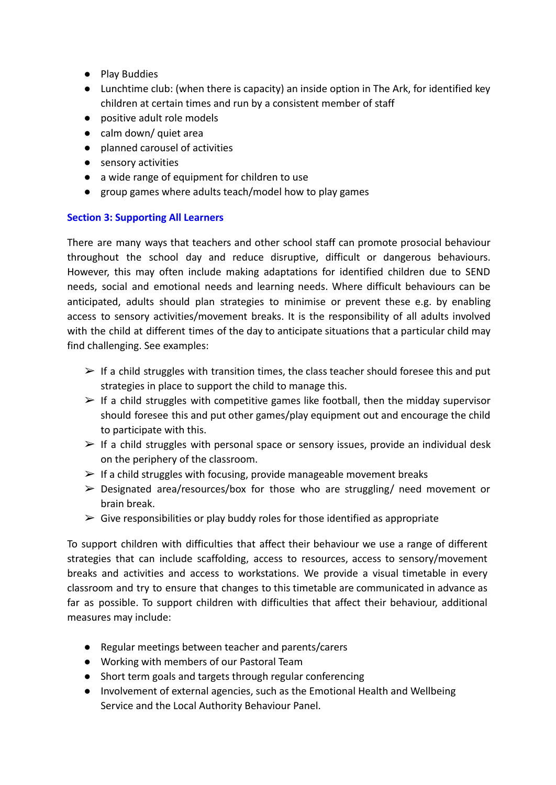- Play Buddies
- Lunchtime club: (when there is capacity) an inside option in The Ark, for identified key children at certain times and run by a consistent member of staff
- positive adult role models
- calm down/ quiet area
- planned carousel of activities
- sensory activities
- a wide range of equipment for children to use
- group games where adults teach/model how to play games

#### **Section 3: Supporting All Learners**

There are many ways that teachers and other school staff can promote prosocial behaviour throughout the school day and reduce disruptive, difficult or dangerous behaviours. However, this may often include making adaptations for identified children due to SEND needs, social and emotional needs and learning needs. Where difficult behaviours can be anticipated, adults should plan strategies to minimise or prevent these e.g. by enabling access to sensory activities/movement breaks. It is the responsibility of all adults involved with the child at different times of the day to anticipate situations that a particular child may find challenging. See examples:

- $\triangleright$  If a child struggles with transition times, the class teacher should foresee this and put strategies in place to support the child to manage this.
- $\triangleright$  If a child struggles with competitive games like football, then the midday supervisor should foresee this and put other games/play equipment out and encourage the child to participate with this.
- $\triangleright$  If a child struggles with personal space or sensory issues, provide an individual desk on the periphery of the classroom.
- $\triangleright$  If a child struggles with focusing, provide manageable movement breaks
- $\triangleright$  Designated area/resources/box for those who are struggling/ need movement or brain break.
- $\triangleright$  Give responsibilities or play buddy roles for those identified as appropriate

To support children with difficulties that affect their behaviour we use a range of different strategies that can include scaffolding, access to resources, access to sensory/movement breaks and activities and access to workstations. We provide a visual timetable in every classroom and try to ensure that changes to this timetable are communicated in advance as far as possible. To support children with difficulties that affect their behaviour, additional measures may include:

- Regular meetings between teacher and parents/carers
- Working with members of our Pastoral Team
- Short term goals and targets through regular conferencing
- Involvement of external agencies, such as the Emotional Health and Wellbeing Service and the Local Authority Behaviour Panel.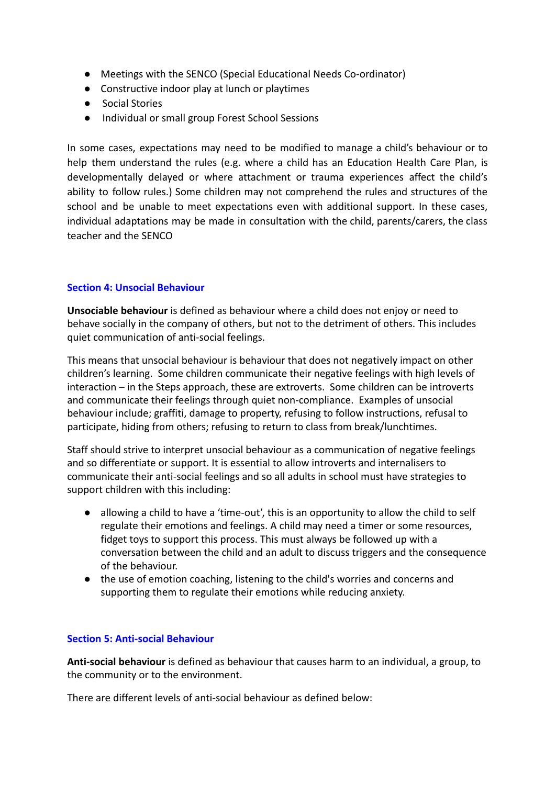- Meetings with the SENCO (Special Educational Needs Co-ordinator)
- Constructive indoor play at lunch or playtimes
- Social Stories
- Individual or small group Forest School Sessions

In some cases, expectations may need to be modified to manage a child's behaviour or to help them understand the rules (e.g. where a child has an Education Health Care Plan, is developmentally delayed or where attachment or trauma experiences affect the child's ability to follow rules.) Some children may not comprehend the rules and structures of the school and be unable to meet expectations even with additional support. In these cases, individual adaptations may be made in consultation with the child, parents/carers, the class teacher and the SENCO

#### **Section 4: Unsocial Behaviour**

**Unsociable behaviour** is defined as behaviour where a child does not enjoy or need to behave socially in the company of others, but not to the detriment of others. This includes quiet communication of anti-social feelings.

This means that unsocial behaviour is behaviour that does not negatively impact on other children's learning. Some children communicate their negative feelings with high levels of interaction – in the Steps approach, these are extroverts. Some children can be introverts and communicate their feelings through quiet non-compliance. Examples of unsocial behaviour include; graffiti, damage to property, refusing to follow instructions, refusal to participate, hiding from others; refusing to return to class from break/lunchtimes.

Staff should strive to interpret unsocial behaviour as a communication of negative feelings and so differentiate or support. It is essential to allow introverts and internalisers to communicate their anti-social feelings and so all adults in school must have strategies to support children with this including:

- allowing a child to have a 'time-out', this is an opportunity to allow the child to self regulate their emotions and feelings. A child may need a timer or some resources, fidget toys to support this process. This must always be followed up with a conversation between the child and an adult to discuss triggers and the consequence of the behaviour.
- the use of emotion coaching, listening to the child's worries and concerns and supporting them to regulate their emotions while reducing anxiety.

#### **Section 5: Anti-social Behaviour**

**Anti-social behaviour** is defined as behaviour that causes harm to an individual, a group, to the community or to the environment.

There are different levels of anti-social behaviour as defined below: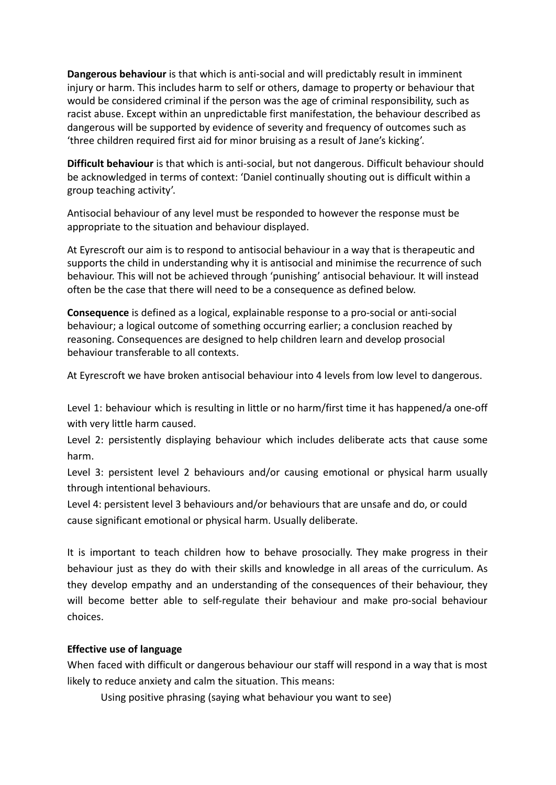**Dangerous behaviour** is that which is anti-social and will predictably result in imminent injury or harm. This includes harm to self or others, damage to property or behaviour that would be considered criminal if the person was the age of criminal responsibility, such as racist abuse. Except within an unpredictable first manifestation, the behaviour described as dangerous will be supported by evidence of severity and frequency of outcomes such as 'three children required first aid for minor bruising as a result of Jane's kicking'.

**Difficult behaviour** is that which is anti-social, but not dangerous. Difficult behaviour should be acknowledged in terms of context: 'Daniel continually shouting out is difficult within a group teaching activity'.

Antisocial behaviour of any level must be responded to however the response must be appropriate to the situation and behaviour displayed.

At Eyrescroft our aim is to respond to antisocial behaviour in a way that is therapeutic and supports the child in understanding why it is antisocial and minimise the recurrence of such behaviour. This will not be achieved through 'punishing' antisocial behaviour. It will instead often be the case that there will need to be a consequence as defined below.

**Consequence** is defined as a logical, explainable response to a pro-social or anti-social behaviour; a logical outcome of something occurring earlier; a conclusion reached by reasoning. Consequences are designed to help children learn and develop prosocial behaviour transferable to all contexts.

At Eyrescroft we have broken antisocial behaviour into 4 levels from low level to dangerous.

Level 1: behaviour which is resulting in little or no harm/first time it has happened/a one-off with very little harm caused.

Level 2: persistently displaying behaviour which includes deliberate acts that cause some harm.

Level 3: persistent level 2 behaviours and/or causing emotional or physical harm usually through intentional behaviours.

Level 4: persistent level 3 behaviours and/or behaviours that are unsafe and do, or could cause significant emotional or physical harm. Usually deliberate.

It is important to teach children how to behave prosocially. They make progress in their behaviour just as they do with their skills and knowledge in all areas of the curriculum. As they develop empathy and an understanding of the consequences of their behaviour, they will become better able to self-regulate their behaviour and make pro-social behaviour choices.

#### **Effective use of language**

When faced with difficult or dangerous behaviour our staff will respond in a way that is most likely to reduce anxiety and calm the situation. This means:

Using positive phrasing (saying what behaviour you want to see)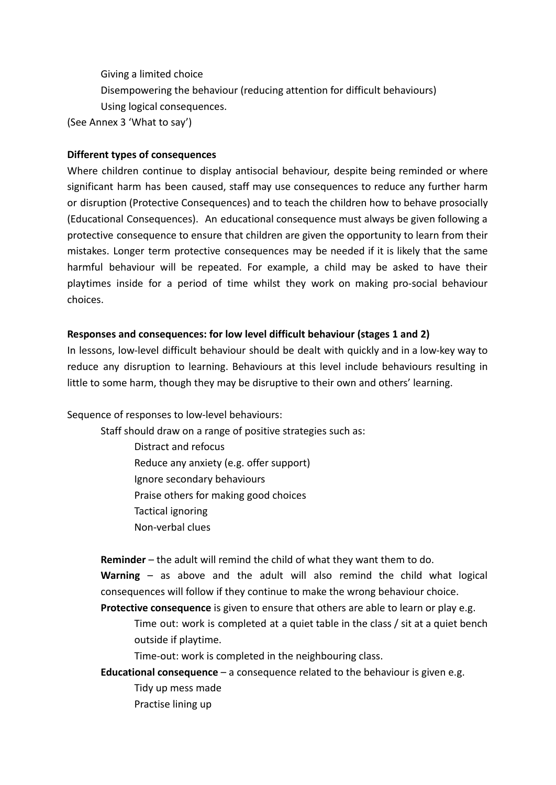Giving a limited choice

Disempowering the behaviour (reducing attention for difficult behaviours) Using logical consequences.

(See Annex 3 'What to say')

#### **Different types of consequences**

Where children continue to display antisocial behaviour, despite being reminded or where significant harm has been caused, staff may use consequences to reduce any further harm or disruption (Protective Consequences) and to teach the children how to behave prosocially (Educational Consequences). An educational consequence must always be given following a protective consequence to ensure that children are given the opportunity to learn from their mistakes. Longer term protective consequences may be needed if it is likely that the same harmful behaviour will be repeated. For example, a child may be asked to have their playtimes inside for a period of time whilst they work on making pro-social behaviour choices.

### **Responses and consequences: for low level difficult behaviour (stages 1 and 2)**

In lessons, low-level difficult behaviour should be dealt with quickly and in a low-key way to reduce any disruption to learning. Behaviours at this level include behaviours resulting in little to some harm, though they may be disruptive to their own and others' learning.

Sequence of responses to low-level behaviours:

Staff should draw on a range of positive strategies such as:

Distract and refocus

Reduce any anxiety (e.g. offer support)

Ignore secondary behaviours

Praise others for making good choices

Tactical ignoring

Non-verbal clues

**Reminder** – the adult will remind the child of what they want them to do.

**Warning** – as above and the adult will also remind the child what logical consequences will follow if they continue to make the wrong behaviour choice.

**Protective consequence** is given to ensure that others are able to learn or play e.g. Time out: work is completed at a quiet table in the class / sit at a quiet bench outside if playtime.

Time-out: work is completed in the neighbouring class.

**Educational consequence** – a consequence related to the behaviour is given e.g. Tidy up mess made Practise lining up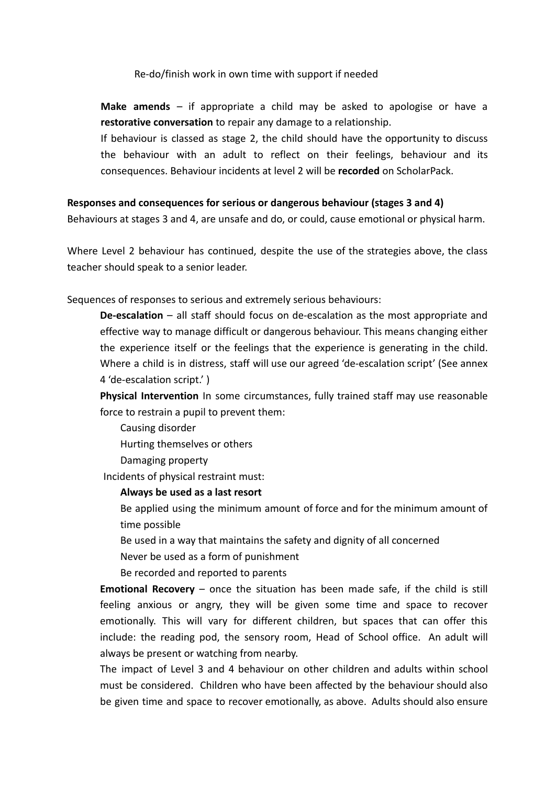#### Re-do/finish work in own time with support if needed

**Make amends** – if appropriate a child may be asked to apologise or have a **restorative conversation** to repair any damage to a relationship.

If behaviour is classed as stage 2, the child should have the opportunity to discuss the behaviour with an adult to reflect on their feelings, behaviour and its consequences. Behaviour incidents at level 2 will be **recorded** on ScholarPack.

#### **Responses and consequences for serious or dangerous behaviour (stages 3 and 4)**

Behaviours at stages 3 and 4, are unsafe and do, or could, cause emotional or physical harm.

Where Level 2 behaviour has continued, despite the use of the strategies above, the class teacher should speak to a senior leader.

Sequences of responses to serious and extremely serious behaviours:

**De-escalation** – all staff should focus on de-escalation as the most appropriate and effective way to manage difficult or dangerous behaviour. This means changing either the experience itself or the feelings that the experience is generating in the child. Where a child is in distress, staff will use our agreed 'de-escalation script' (See annex 4 'de-escalation script.' )

**Physical Intervention** In some circumstances, fully trained staff may use reasonable force to restrain a pupil to prevent them:

Causing disorder Hurting themselves or others

Damaging property

Incidents of physical restraint must:

#### **Always be used as a last resort**

Be applied using the minimum amount of force and for the minimum amount of time possible

Be used in a way that maintains the safety and dignity of all concerned

Never be used as a form of punishment

Be recorded and reported to parents

**Emotional Recovery** – once the situation has been made safe, if the child is still feeling anxious or angry, they will be given some time and space to recover emotionally. This will vary for different children, but spaces that can offer this include: the reading pod, the sensory room, Head of School office. An adult will always be present or watching from nearby.

The impact of Level 3 and 4 behaviour on other children and adults within school must be considered. Children who have been affected by the behaviour should also be given time and space to recover emotionally, as above. Adults should also ensure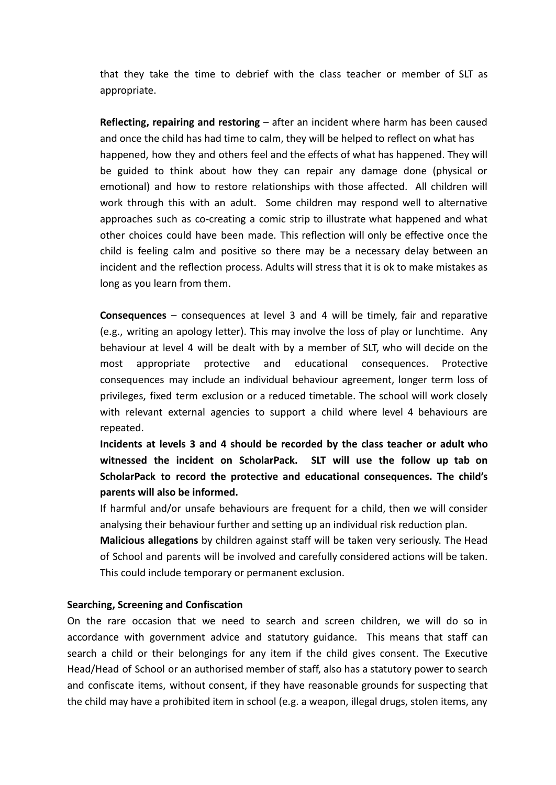that they take the time to debrief with the class teacher or member of SLT as appropriate.

**Reflecting, repairing and restoring** – after an incident where harm has been caused and once the child has had time to calm, they will be helped to reflect on what has happened, how they and others feel and the effects of what has happened. They will be guided to think about how they can repair any damage done (physical or emotional) and how to restore relationships with those affected. All children will work through this with an adult. Some children may respond well to alternative approaches such as co-creating a comic strip to illustrate what happened and what other choices could have been made. This reflection will only be effective once the child is feeling calm and positive so there may be a necessary delay between an incident and the reflection process. Adults will stress that it is ok to make mistakes as long as you learn from them.

**Consequences** – consequences at level 3 and 4 will be timely, fair and reparative (e.g., writing an apology letter). This may involve the loss of play or lunchtime. Any behaviour at level 4 will be dealt with by a member of SLT, who will decide on the most appropriate protective and educational consequences. Protective consequences may include an individual behaviour agreement, longer term loss of privileges, fixed term exclusion or a reduced timetable. The school will work closely with relevant external agencies to support a child where level 4 behaviours are repeated.

**Incidents at levels 3 and 4 should be recorded by the class teacher or adult who witnessed the incident on ScholarPack. SLT will use the follow up tab on ScholarPack to record the protective and educational consequences. The child's parents will also be informed.**

If harmful and/or unsafe behaviours are frequent for a child, then we will consider analysing their behaviour further and setting up an individual risk reduction plan.

**Malicious allegations** by children against staff will be taken very seriously. The Head of School and parents will be involved and carefully considered actions will be taken. This could include temporary or permanent exclusion.

#### **Searching, Screening and Confiscation**

On the rare occasion that we need to search and screen children, we will do so in accordance with government advice and statutory guidance. This means that staff can search a child or their belongings for any item if the child gives consent. The Executive Head/Head of School or an authorised member of staff, also has a statutory power to search and confiscate items, without consent, if they have reasonable grounds for suspecting that the child may have a prohibited item in school (e.g. a weapon, illegal drugs, stolen items, any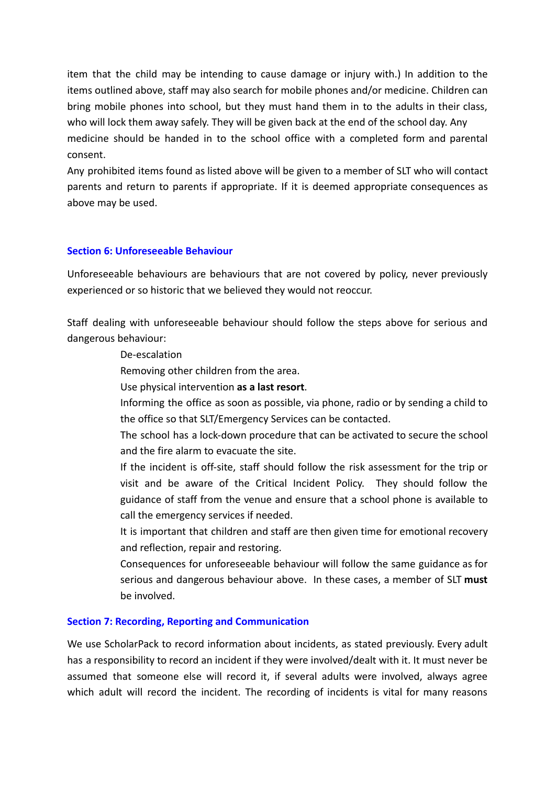item that the child may be intending to cause damage or injury with.) In addition to the items outlined above, staff may also search for mobile phones and/or medicine. Children can bring mobile phones into school, but they must hand them in to the adults in their class, who will lock them away safely. They will be given back at the end of the school day. Any medicine should be handed in to the school office with a completed form and parental consent.

Any prohibited items found as listed above will be given to a member of SLT who will contact parents and return to parents if appropriate. If it is deemed appropriate consequences as above may be used.

#### **Section 6: Unforeseeable Behaviour**

Unforeseeable behaviours are behaviours that are not covered by policy, never previously experienced or so historic that we believed they would not reoccur.

Staff dealing with unforeseeable behaviour should follow the steps above for serious and dangerous behaviour:

De-escalation

Removing other children from the area.

Use physical intervention **as a last resort**.

Informing the office as soon as possible, via phone, radio or by sending a child to the office so that SLT/Emergency Services can be contacted.

The school has a lock-down procedure that can be activated to secure the school and the fire alarm to evacuate the site.

If the incident is off-site, staff should follow the risk assessment for the trip or visit and be aware of the Critical Incident Policy. They should follow the guidance of staff from the venue and ensure that a school phone is available to call the emergency services if needed.

It is important that children and staff are then given time for emotional recovery and reflection, repair and restoring.

Consequences for unforeseeable behaviour will follow the same guidance as for serious and dangerous behaviour above. In these cases, a member of SLT **must** be involved.

#### **Section 7: Recording, Reporting and Communication**

We use ScholarPack to record information about incidents, as stated previously. Every adult has a responsibility to record an incident if they were involved/dealt with it. It must never be assumed that someone else will record it, if several adults were involved, always agree which adult will record the incident. The recording of incidents is vital for many reasons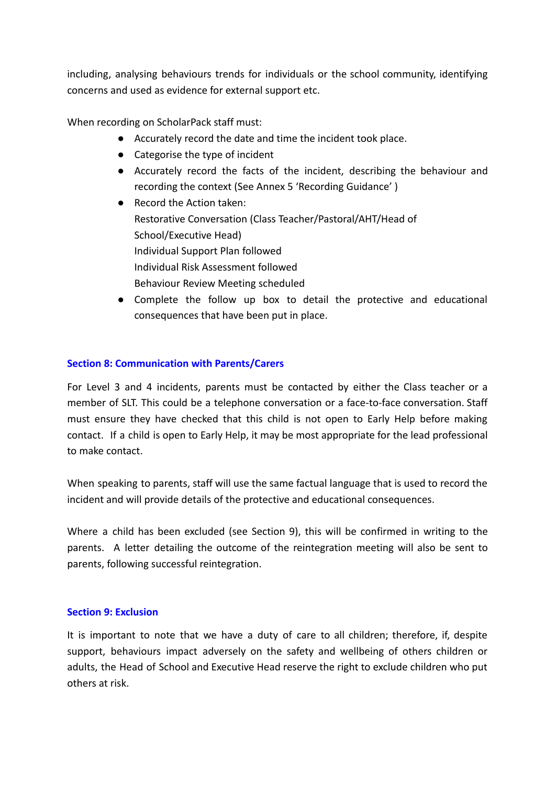including, analysing behaviours trends for individuals or the school community, identifying concerns and used as evidence for external support etc.

When recording on ScholarPack staff must:

- Accurately record the date and time the incident took place.
- Categorise the type of incident
- Accurately record the facts of the incident, describing the behaviour and recording the context (See Annex 5 'Recording Guidance' )
- Record the Action taken: Restorative Conversation (Class Teacher/Pastoral/AHT/Head of School/Executive Head) Individual Support Plan followed Individual Risk Assessment followed Behaviour Review Meeting scheduled
- Complete the follow up box to detail the protective and educational consequences that have been put in place.

#### **Section 8: Communication with Parents/Carers**

For Level 3 and 4 incidents, parents must be contacted by either the Class teacher or a member of SLT. This could be a telephone conversation or a face-to-face conversation. Staff must ensure they have checked that this child is not open to Early Help before making contact. If a child is open to Early Help, it may be most appropriate for the lead professional to make contact.

When speaking to parents, staff will use the same factual language that is used to record the incident and will provide details of the protective and educational consequences.

Where a child has been excluded (see Section 9), this will be confirmed in writing to the parents. A letter detailing the outcome of the reintegration meeting will also be sent to parents, following successful reintegration.

#### **Section 9: Exclusion**

It is important to note that we have a duty of care to all children; therefore, if, despite support, behaviours impact adversely on the safety and wellbeing of others children or adults, the Head of School and Executive Head reserve the right to exclude children who put others at risk.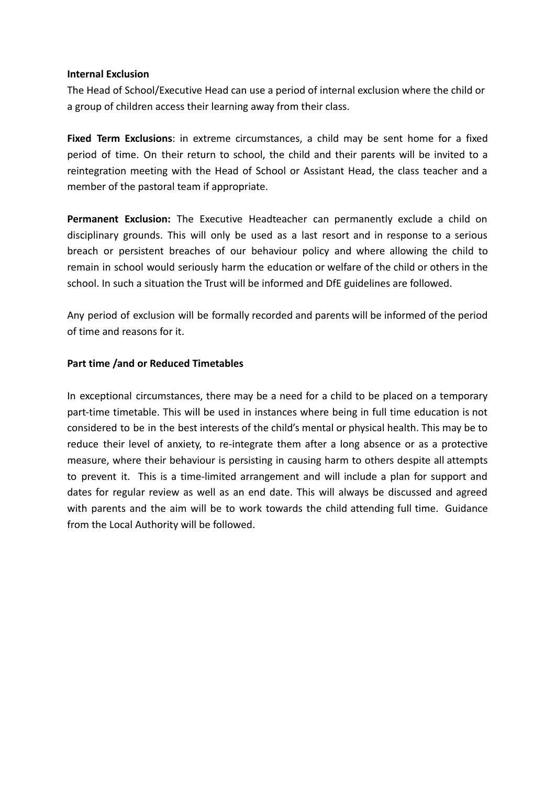#### **Internal Exclusion**

The Head of School/Executive Head can use a period of internal exclusion where the child or a group of children access their learning away from their class.

**Fixed Term Exclusions**: in extreme circumstances, a child may be sent home for a fixed period of time. On their return to school, the child and their parents will be invited to a reintegration meeting with the Head of School or Assistant Head, the class teacher and a member of the pastoral team if appropriate.

**Permanent Exclusion:** The Executive Headteacher can permanently exclude a child on disciplinary grounds. This will only be used as a last resort and in response to a serious breach or persistent breaches of our behaviour policy and where allowing the child to remain in school would seriously harm the education or welfare of the child or others in the school. In such a situation the Trust will be informed and DfE guidelines are followed.

Any period of exclusion will be formally recorded and parents will be informed of the period of time and reasons for it.

#### **Part time /and or Reduced Timetables**

In exceptional circumstances, there may be a need for a child to be placed on a temporary part-time timetable. This will be used in instances where being in full time education is not considered to be in the best interests of the child's mental or physical health. This may be to reduce their level of anxiety, to re-integrate them after a long absence or as a protective measure, where their behaviour is persisting in causing harm to others despite all attempts to prevent it. This is a time-limited arrangement and will include a plan for support and dates for regular review as well as an end date. This will always be discussed and agreed with parents and the aim will be to work towards the child attending full time. Guidance from the Local Authority will be followed.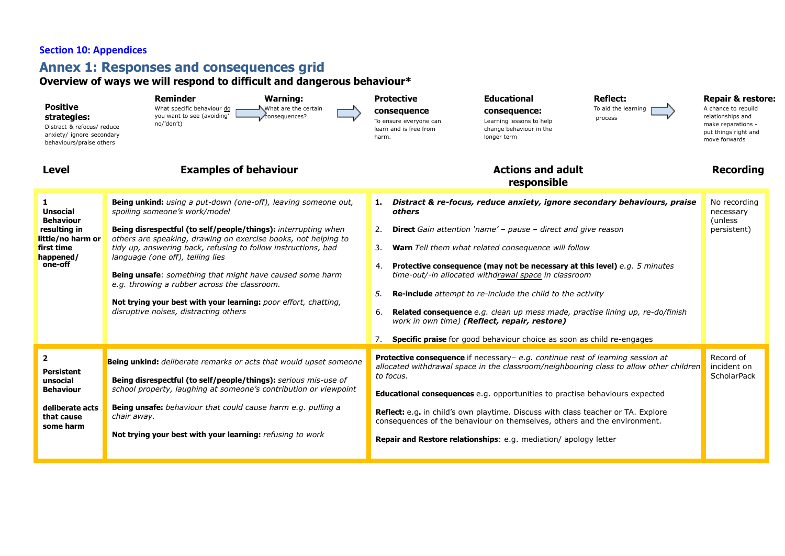## **Section 10: Appendices**

### **Annex 1: Responses and consequences grid**

#### **Overview of ways we will respond to difficult and dangerous behaviour\***

| <b>Positive</b><br>strategies:<br>Distract & refocus/ reduce<br>anxiety/ ignore secondary<br>behaviours/praise others      | <b>Reminder</b><br><b>Warning:</b><br>What specific behaviour do<br>What are the certain<br>you want to see (avoiding'<br>consequences?<br>no/'don't)                                                                                                                                                                                                                                                                                                                                                                                                                   | <b>Protective</b><br>consequence<br>To ensure everyone can<br>learn and is free from<br>harm. | <b>Educational</b><br>consequence:<br>Learning lessons to help<br>change behaviour in the<br>longer term                                                                                                                                                                                                                                                                                                                                                                      | <b>Reflect:</b><br>To aid the learning<br>process                                                                                                         | <b>Repair &amp; restore:</b><br>A chance to rebuild<br>relationships and<br>make reparations -<br>put things right and<br>move forwards |
|----------------------------------------------------------------------------------------------------------------------------|-------------------------------------------------------------------------------------------------------------------------------------------------------------------------------------------------------------------------------------------------------------------------------------------------------------------------------------------------------------------------------------------------------------------------------------------------------------------------------------------------------------------------------------------------------------------------|-----------------------------------------------------------------------------------------------|-------------------------------------------------------------------------------------------------------------------------------------------------------------------------------------------------------------------------------------------------------------------------------------------------------------------------------------------------------------------------------------------------------------------------------------------------------------------------------|-----------------------------------------------------------------------------------------------------------------------------------------------------------|-----------------------------------------------------------------------------------------------------------------------------------------|
| <b>Level</b>                                                                                                               | <b>Examples of behaviour</b>                                                                                                                                                                                                                                                                                                                                                                                                                                                                                                                                            |                                                                                               | <b>Actions and adult</b><br>responsible                                                                                                                                                                                                                                                                                                                                                                                                                                       |                                                                                                                                                           | <b>Recording</b>                                                                                                                        |
| 1.<br><b>Unsocial</b><br><b>Behaviour</b><br>resulting in<br>little/no harm or<br>first time<br>happened/<br>one-off       | Being unkind: using a put-down (one-off), leaving someone out,<br>spoiling someone's work/model<br>Being disrespectful (to self/people/things): interrupting when<br>others are speaking, drawing on exercise books, not helping to<br>tidy up, answering back, refusing to follow instructions, bad<br>language (one off), telling lies<br><b>Being unsafe:</b> something that might have caused some harm<br>e.g. throwing a rubber across the classroom.<br>Not trying your best with your learning: poor effort, chatting,<br>disruptive noises, distracting others | 1.<br>others<br>2.<br>3.<br>4.<br>5.<br>6.<br>7.                                              | <b>Direct</b> Gain attention 'name' - pause - direct and give reason<br>Warn Tell them what related consequence will follow<br><b>Protective consequence (may not be necessary at this level)</b> e.g. 5 minutes<br>time-out/-in allocated withdrawal space in classroom<br><b>Re-include</b> attempt to re-include the child to the activity<br>work in own time) (Reflect, repair, restore)<br><b>Specific praise</b> for good behaviour choice as soon as child re-engages | Distract & re-focus, reduce anxiety, ignore secondary behaviours, praise<br>Related consequence e.g. clean up mess made, practise lining up, re-do/finish | No recording<br>necessary<br>(unless)<br>persistent)                                                                                    |
| $\overline{\mathbf{2}}$<br><b>Persistent</b><br>unsocial<br><b>Behaviour</b><br>deliberate acts<br>that cause<br>some harm | Being unkind: deliberate remarks or acts that would upset someone<br>Being disrespectful (to self/people/things): serious mis-use of<br>school property, laughing at someone's contribution or viewpoint<br><b>Being unsafe:</b> behaviour that could cause harm e.g. pulling a<br>chair away.<br>Not trying your best with your learning: refusing to work                                                                                                                                                                                                             | to focus.                                                                                     | Protective consequence if necessary- e.g. continue rest of learning session at<br><b>Educational consequences</b> e.g. opportunities to practise behaviours expected<br>Reflect: e.g. in child's own playtime. Discuss with class teacher or TA. Explore<br>consequences of the behaviour on themselves, others and the environment.<br>Repair and Restore relationships: e.g. mediation/ apology letter                                                                      | allocated withdrawal space in the classroom/neighbouring class to allow other children                                                                    | Record of<br>incident on<br><b>ScholarPack</b>                                                                                          |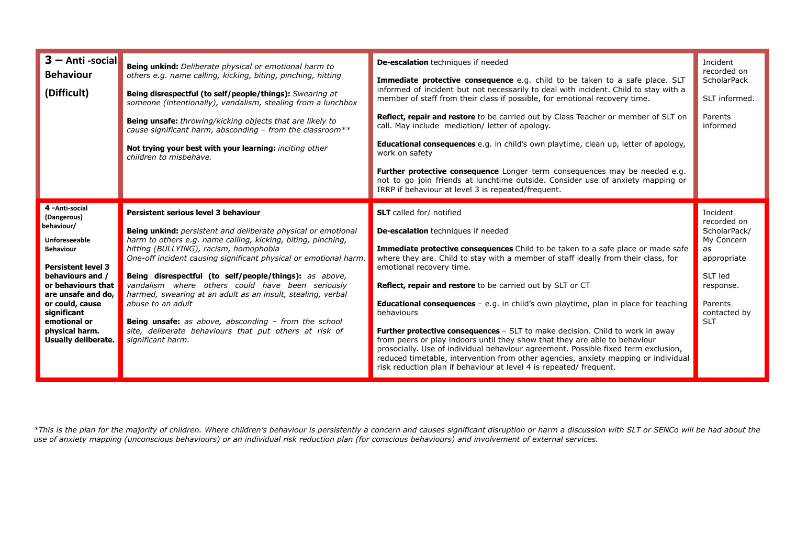| $3 - Anti$ -social<br><b>Behaviour</b><br>(Difficult)                                                                                                                                                                                                                            | Being unkind: Deliberate physical or emotional harm to<br>others e.g. name calling, kicking, biting, pinching, hitting<br><b>Being disrespectful (to self/people/things):</b> Swearing at<br>someone (intentionally), vandalism, stealing from a lunchbox<br>Being unsafe: throwing/kicking objects that are likely to<br>cause significant harm, absconding - from the classroom **<br>Not trying your best with your learning: inciting other<br>children to misbehave.                                                                                                                                                                    | De-escalation techniques if needed<br>Immediate protective consequence e.g. child to be taken to a safe place. SLT<br>informed of incident but not necessarily to deal with incident. Child to stay with a<br>member of staff from their class if possible, for emotional recovery time.<br>Reflect, repair and restore to be carried out by Class Teacher or member of SLT on<br>call. May include mediation/letter of apology.<br><b>Educational consequences</b> e.g. in child's own playtime, clean up, letter of apology,<br>work on safety<br>Further protective consequence Longer term consequences may be needed e.g.<br>not to go join friends at lunchtime outside. Consider use of anxiety mapping or<br>IRRP if behaviour at level 3 is repeated/frequent.                                                                                                                | Incident<br>recorded on<br><b>ScholarPack</b><br>SLT informed.<br>Parents<br>informed                                                        |
|----------------------------------------------------------------------------------------------------------------------------------------------------------------------------------------------------------------------------------------------------------------------------------|----------------------------------------------------------------------------------------------------------------------------------------------------------------------------------------------------------------------------------------------------------------------------------------------------------------------------------------------------------------------------------------------------------------------------------------------------------------------------------------------------------------------------------------------------------------------------------------------------------------------------------------------|----------------------------------------------------------------------------------------------------------------------------------------------------------------------------------------------------------------------------------------------------------------------------------------------------------------------------------------------------------------------------------------------------------------------------------------------------------------------------------------------------------------------------------------------------------------------------------------------------------------------------------------------------------------------------------------------------------------------------------------------------------------------------------------------------------------------------------------------------------------------------------------|----------------------------------------------------------------------------------------------------------------------------------------------|
| 4 - Anti-social<br>(Dangerous)<br>behaviour/<br>Unforeseeable<br><b>Behaviour</b><br><b>Persistent level 3</b><br>behaviours and /<br>or behaviours that<br>are unsafe and do,<br>or could, cause<br>significant<br>emotional or<br>physical harm.<br><b>Usually deliberate.</b> | Persistent serious level 3 behaviour<br><b>Being unkind:</b> persistent and deliberate physical or emotional<br>harm to others e.g. name calling, kicking, biting, pinching,<br>hitting (BULLYING), racism, homophobia<br>One-off incident causing significant physical or emotional harm.<br>Being disrespectful (to self/people/things): as above,<br>vandalism where others could have been seriously<br>harmed, swearing at an adult as an insult, stealing, verbal<br>abuse to an adult<br><b>Being unsafe:</b> as above, absconding $-$ from the school<br>site, deliberate behaviours that put others at risk of<br>significant harm. | <b>SLT</b> called for/ notified<br>De-escalation techniques if needed<br><b>Immediate protective consequences</b> Child to be taken to a safe place or made safe<br>where they are. Child to stay with a member of staff ideally from their class, for<br>emotional recovery time.<br><b>Reflect, repair and restore</b> to be carried out by SLT or CT<br><b>Educational consequences</b> $-$ e.g. in child's own playtime, plan in place for teaching<br>behaviours<br>Further protective consequences - SLT to make decision. Child to work in away<br>from peers or play indoors until they show that they are able to behaviour<br>prosocially. Use of individual behaviour agreement. Possible fixed term exclusion,<br>reduced timetable, intervention from other agencies, anxiety mapping or individual<br>risk reduction plan if behaviour at level 4 is repeated/ frequent. | Incident<br>recorded on<br>ScholarPack/<br>My Concern<br>as.<br>appropriate<br>SLT led<br>response.<br>Parents<br>contacted by<br><b>SLT</b> |

\*This is the plan for the majority of children. Where children's behaviour is persistently a concern and causes significant disruption or harm a discussion with SLT or SENCo will be had about the use of anxiety mapping (unconscious behaviours) or an individual risk reduction plan (for conscious behaviours) and involvement of external services.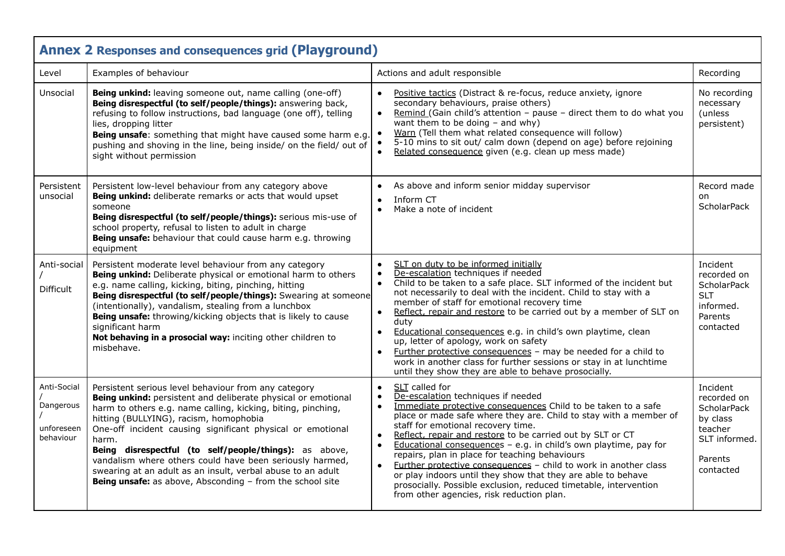| <b>Annex 2 Responses and consequences grid (Playground)</b> |                                                                                                                                                                                                                                                                                                                                                                                                                                                                                                                                                          |                                                                                                                                                                                                                                                                                                                                                                                                                                                                                                                                                                                                                                                                                                                                            |                                                                                                               |  |
|-------------------------------------------------------------|----------------------------------------------------------------------------------------------------------------------------------------------------------------------------------------------------------------------------------------------------------------------------------------------------------------------------------------------------------------------------------------------------------------------------------------------------------------------------------------------------------------------------------------------------------|--------------------------------------------------------------------------------------------------------------------------------------------------------------------------------------------------------------------------------------------------------------------------------------------------------------------------------------------------------------------------------------------------------------------------------------------------------------------------------------------------------------------------------------------------------------------------------------------------------------------------------------------------------------------------------------------------------------------------------------------|---------------------------------------------------------------------------------------------------------------|--|
| Level                                                       | Examples of behaviour                                                                                                                                                                                                                                                                                                                                                                                                                                                                                                                                    | Actions and adult responsible                                                                                                                                                                                                                                                                                                                                                                                                                                                                                                                                                                                                                                                                                                              | Recording                                                                                                     |  |
| Unsocial                                                    | Being unkind: leaving someone out, name calling (one-off)<br>Being disrespectful (to self/people/things): answering back,<br>refusing to follow instructions, bad language (one off), telling<br>lies, dropping litter<br>Being unsafe: something that might have caused some harm e.g.<br>pushing and shoving in the line, being inside/ on the field/ out of<br>sight without permission                                                                                                                                                               | Positive tactics (Distract & re-focus, reduce anxiety, ignore<br>$\bullet$<br>secondary behaviours, praise others)<br>Remind (Gain child's attention - pause - direct them to do what you<br>$\bullet$<br>want them to be doing $-$ and why)<br>Warn (Tell them what related consequence will follow)<br>5-10 mins to sit out/ calm down (depend on age) before rejoining<br>Related consequence given (e.g. clean up mess made)                                                                                                                                                                                                                                                                                                           | No recording<br>necessary<br>(unless<br>persistent)                                                           |  |
| Persistent<br>unsocial                                      | Persistent low-level behaviour from any category above<br>Being unkind: deliberate remarks or acts that would upset<br>someone<br>Being disrespectful (to self/people/things): serious mis-use of<br>school property, refusal to listen to adult in charge<br>Being unsafe: behaviour that could cause harm e.g. throwing<br>equipment                                                                                                                                                                                                                   | As above and inform senior midday supervisor<br>$\bullet$<br>Inform CT<br>$\bullet$<br>Make a note of incident<br>$\bullet$                                                                                                                                                                                                                                                                                                                                                                                                                                                                                                                                                                                                                | Record made<br>on<br><b>ScholarPack</b>                                                                       |  |
| Anti-social<br><b>Difficult</b>                             | Persistent moderate level behaviour from any category<br>Being unkind: Deliberate physical or emotional harm to others<br>e.g. name calling, kicking, biting, pinching, hitting<br>Being disrespectful (to self/people/things): Swearing at someone<br>(intentionally), vandalism, stealing from a lunchbox<br>Being unsafe: throwing/kicking objects that is likely to cause<br>significant harm<br>Not behaving in a prosocial way: inciting other children to<br>misbehave.                                                                           | SLT on duty to be informed initially<br>$\bullet$<br>De-escalation techniques if needed<br>$\bullet$<br>Child to be taken to a safe place. SLT informed of the incident but<br>not necessarily to deal with the incident. Child to stay with a<br>member of staff for emotional recovery time<br>Reflect, repair and restore to be carried out by a member of SLT on<br>$\bullet$<br>duty<br>Educational consequences e.g. in child's own playtime, clean<br>$\bullet$<br>up, letter of apology, work on safety<br>Further protective consequences - may be needed for a child to<br>$\bullet$<br>work in another class for further sessions or stay in at lunchtime<br>until they show they are able to behave prosocially.               | Incident<br>recorded on<br><b>ScholarPack</b><br><b>SLT</b><br>informed.<br>Parents<br>contacted              |  |
| Anti-Social<br>Dangerous<br>unforeseen<br>behaviour         | Persistent serious level behaviour from any category<br>Being unkind: persistent and deliberate physical or emotional<br>harm to others e.g. name calling, kicking, biting, pinching,<br>hitting (BULLYING), racism, homophobia<br>One-off incident causing significant physical or emotional<br>harm.<br>Being disrespectful (to self/people/things): as above,<br>vandalism where others could have been seriously harmed,<br>swearing at an adult as an insult, verbal abuse to an adult<br>Being unsafe: as above, Absconding - from the school site | SLT called for<br>$\bullet$<br>De-escalation techniques if needed<br>Immediate protective consequences Child to be taken to a safe<br>$\bullet$<br>place or made safe where they are. Child to stay with a member of<br>staff for emotional recovery time.<br>Reflect, repair and restore to be carried out by SLT or CT<br>$\bullet$<br>Educational consequences - e.g. in child's own playtime, pay for<br>$\bullet$<br>repairs, plan in place for teaching behaviours<br>Further protective consequences - child to work in another class<br>$\bullet$<br>or play indoors until they show that they are able to behave<br>prosocially. Possible exclusion, reduced timetable, intervention<br>from other agencies, risk reduction plan. | Incident<br>recorded on<br><b>ScholarPack</b><br>by class<br>teacher<br>SLT informed.<br>Parents<br>contacted |  |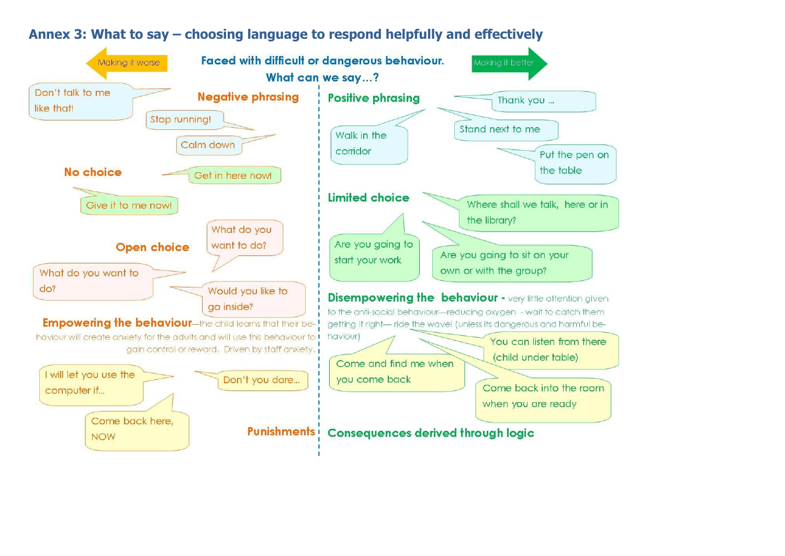

# **Annex 3: What to say – choosing language to respond helpfully and effectively**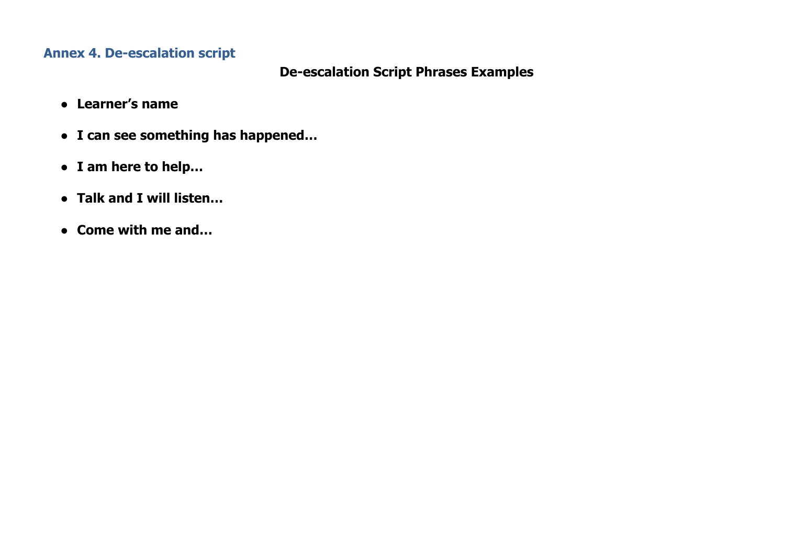# **Annex 4. De-escalation script**

# **De-escalation Script Phrases Examples**

- **● Learner's name**
- **● I can see something has happened…**
- **● I am here to help…**
- **● Talk and I will listen…**
- **● Come with me and…**